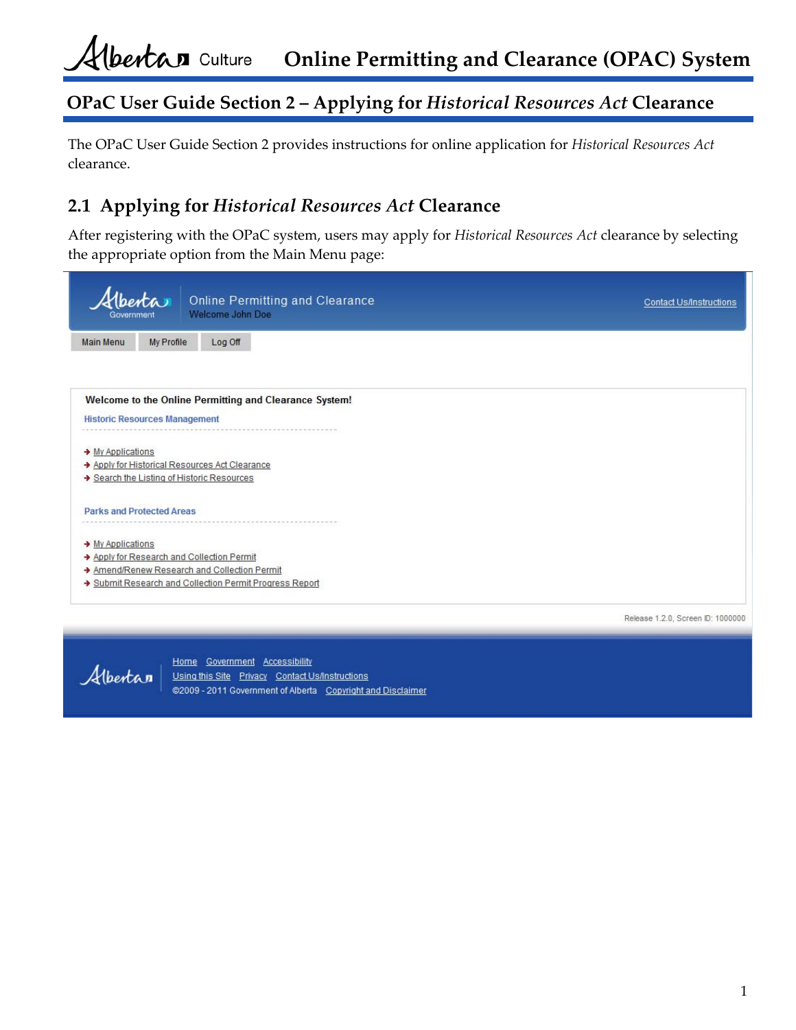The OPaC User Guide Section 2 provides instructions for online application for *Historical Resources Act* clearance.

## **2.1 Applying for** *Historical Resources Act* **Clearance**

After registering with the OPaC system, users may apply for *Historical Resources Act* clearance by selecting the appropriate option from the Main Menu page:

| Governmen                     | enta                                     | <b>Online Permitting and Clearance</b><br>Welcome John Doe | <b>Contact Us/Instructions</b>    |
|-------------------------------|------------------------------------------|------------------------------------------------------------|-----------------------------------|
| <b>Main Menu</b>              | My Profile                               | Log Off                                                    |                                   |
|                               |                                          |                                                            |                                   |
|                               |                                          | Welcome to the Online Permitting and Clearance System!     |                                   |
|                               | <b>Historic Resources Management</b>     |                                                            |                                   |
| → My Applications             |                                          |                                                            |                                   |
|                               | Search the Listing of Historic Resources | Apply for Historical Resources Act Clearance               |                                   |
|                               |                                          |                                                            |                                   |
|                               | <b>Parks and Protected Areas</b>         |                                                            |                                   |
| $\rightarrow$ My Applications |                                          |                                                            |                                   |
|                               | Apply for Research and Collection Permit |                                                            |                                   |
|                               |                                          | Amend/Renew Research and Collection Permit                 |                                   |
|                               |                                          | Submit Research and Collection Permit Progress Report      |                                   |
|                               |                                          |                                                            | Release 1.2.0, Screen ID: 1000000 |

Albertan

Home Government Accessibility Using this Site Privacy Contact Us/Instructions @2009 - 2011 Government of Alberta Copyright and Disclaimer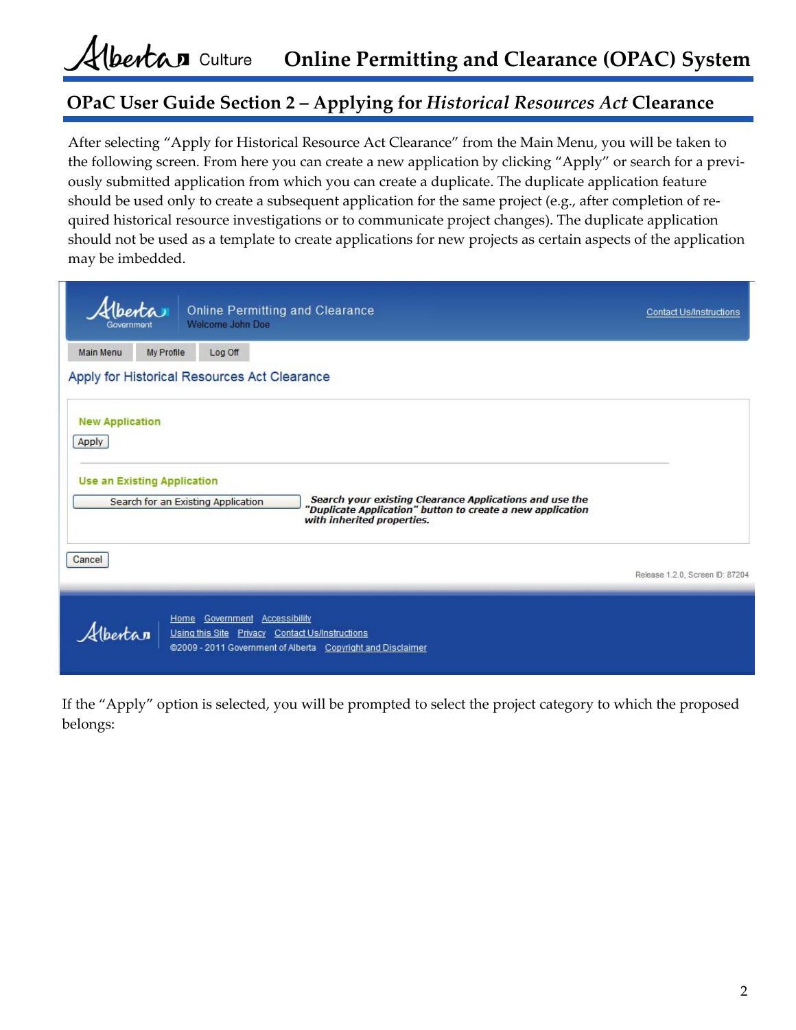#### Albertan culture **Online Permitting and Clearance (OPAC) System**

## **OPaC User Guide Section 2 – Applying for** *Historical Resources Act* **Clearance**

After selecting "Apply for Historical Resource Act Clearance" from the Main Menu, you will be taken to the following screen. From here you can create a new application by clicking "Apply" or search for a previously submitted application from which you can create a duplicate. The duplicate application feature should be used only to create a subsequent application for the same project (e.g., after completion of required historical resource investigations or to communicate project changes). The duplicate application should not be used as a template to create applications for new projects as certain aspects of the application may be imbedded.

| Alberta<br>Government           |                                    | Welcome John Doe                             | <b>Online Permitting and Clearance</b>                                                                                                              | <b>Contact Us/Instructions</b>  |
|---------------------------------|------------------------------------|----------------------------------------------|-----------------------------------------------------------------------------------------------------------------------------------------------------|---------------------------------|
| <b>Main Menu</b>                | My Profile                         | Log Off                                      |                                                                                                                                                     |                                 |
| <b>New Application</b><br>Apply |                                    | Apply for Historical Resources Act Clearance |                                                                                                                                                     |                                 |
|                                 | <b>Use an Existing Application</b> | Search for an Existing Application           | Search your existing Clearance Applications and use the<br>'Duplicate Application" button to create a new application<br>with inherited properties. |                                 |
| Cancel                          |                                    |                                              |                                                                                                                                                     | Release 1.2.0, Screen ID: 87204 |
| Hbertan                         |                                    | Home Government Accessibility                | Using this Site Privacy Contact Us/Instructions<br>@2009 - 2011 Government of Alberta Copyright and Disclaimer                                      |                                 |

If the "Apply" option is selected, you will be prompted to select the project category to which the proposed belongs: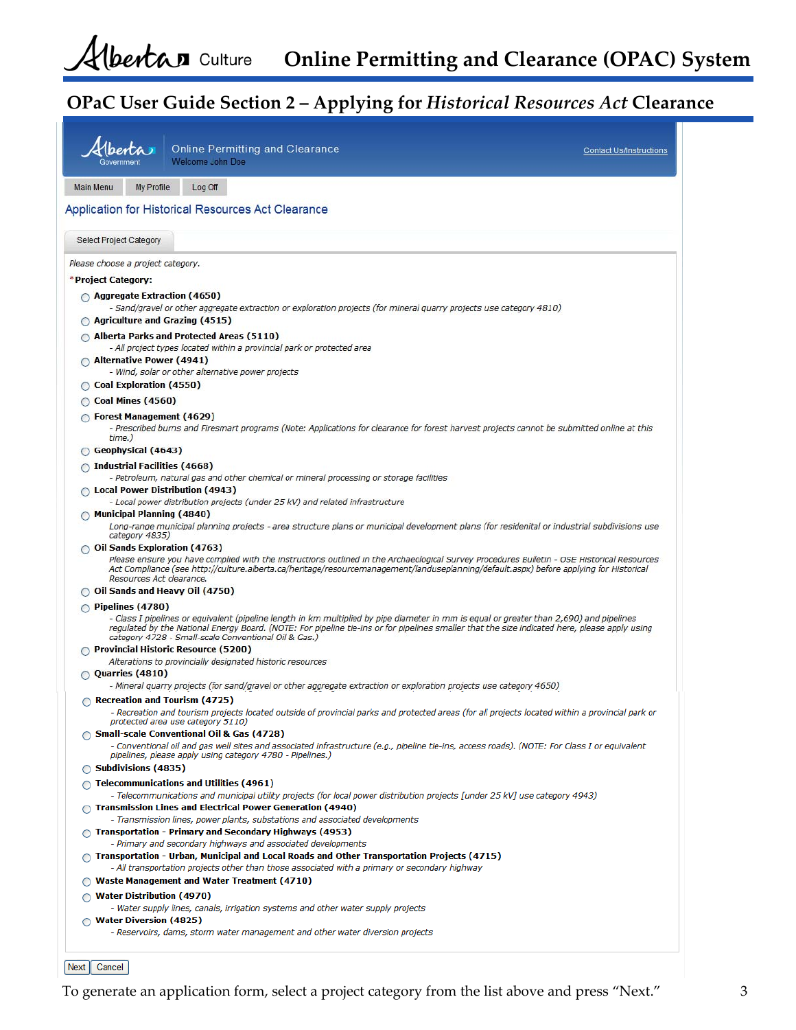|                                                                            | <b>Online Permitting and Clearance</b><br>Welcome John Doe                                                                                                                                                                                                                                                                                        | <b>Contact Us/Instructions</b> |
|----------------------------------------------------------------------------|---------------------------------------------------------------------------------------------------------------------------------------------------------------------------------------------------------------------------------------------------------------------------------------------------------------------------------------------------|--------------------------------|
| <b>Main Menu</b><br>My Profile                                             | Log Off                                                                                                                                                                                                                                                                                                                                           |                                |
|                                                                            | <b>Application for Historical Resources Act Clearance</b>                                                                                                                                                                                                                                                                                         |                                |
| Select Project Category                                                    |                                                                                                                                                                                                                                                                                                                                                   |                                |
| Please choose a project category.                                          |                                                                                                                                                                                                                                                                                                                                                   |                                |
| *Project Category:                                                         |                                                                                                                                                                                                                                                                                                                                                   |                                |
| ◯ Aggregate Extraction (4650)<br>$\bigcirc$ Agriculture and Grazing (4515) | - Sand/gravel or other aggregate extraction or exploration projects (for mineral quarry projects use category 4810)                                                                                                                                                                                                                               |                                |
|                                                                            | Alberta Parks and Protected Areas (5110)                                                                                                                                                                                                                                                                                                          |                                |
| Alternative Power (4941)                                                   | - All project types located within a provincial park or protected area                                                                                                                                                                                                                                                                            |                                |
| ◯ Coal Exploration (4550)                                                  | - Wind, solar or other alternative power projects                                                                                                                                                                                                                                                                                                 |                                |
| ◯ Coal Mines (4560)                                                        |                                                                                                                                                                                                                                                                                                                                                   |                                |
| $\bigcirc$ Forest Management (4629)                                        |                                                                                                                                                                                                                                                                                                                                                   |                                |
| time.)                                                                     | - Prescribed burns and Firesmart programs (Note: Applications for clearance for forest harvest projects cannot be submitted online at this                                                                                                                                                                                                        |                                |
| Geophysical (4643)                                                         |                                                                                                                                                                                                                                                                                                                                                   |                                |
| $\bigcirc$ Industrial Facilities (4668)                                    | - Petroleum, natural gas and other chemical or mineral processing or storage facilities                                                                                                                                                                                                                                                           |                                |
| $\bigcirc$ Local Power Distribution (4943)                                 | - Local power distribution projects (under 25 kV) and related infrastructure                                                                                                                                                                                                                                                                      |                                |
| Municipal Planning (4840)<br>category 4835)                                | Long-range municipal planning projects - area structure plans or municipal development plans (for residenital or industrial subdivisions use                                                                                                                                                                                                      |                                |
| ◯ Oil Sands Exploration (4763)                                             |                                                                                                                                                                                                                                                                                                                                                   |                                |
| Resources Act clearance.                                                   | Please ensure you have complied with the instructions outlined in the Archaeological Survey Procedures Bulletin - OSE Historical Resources<br>Act Compliance (see http://culture.alberta.ca/heritage/resourcemanagement/landuseplanning/default.aspx) before applying for Historical                                                              |                                |
| ◯ Oil Sands and Heavy Oil (4750)                                           |                                                                                                                                                                                                                                                                                                                                                   |                                |
| $\circ$ Pipelines (4780)                                                   | - Class I pipelines or equivalent (pipeline length in km multiplied by pipe diameter in mm is equal or greater than 2,690) and pipelines<br>regulated by the National Energy Board. (NOTE: For pipeline tie-ins or for pipelines smaller that the size indicated here, please apply using<br>category 4728 - Small-scale Conventional Oil & Gas.) |                                |
|                                                                            | ◯ Provincial Historic Resource (5200)<br>Alterations to provincially designated historic resources                                                                                                                                                                                                                                                |                                |
| $\bigcirc$ Quarries (4810)                                                 |                                                                                                                                                                                                                                                                                                                                                   |                                |
|                                                                            | - Mineral quarry projects (for sand/gravel or other aggregate extraction or exploration projects use category 4650)                                                                                                                                                                                                                               |                                |
| Recreation and Tourism (4725)                                              | - Recreation and tourism projects located outside of provincial parks and protected areas (for all projects located within a provincial park or<br>protected area use category 5110)                                                                                                                                                              |                                |
|                                                                            | ◯ Small-scale Conventional Oil & Gas (4728)                                                                                                                                                                                                                                                                                                       |                                |
| ◯ Subdivisions (4835)                                                      | - Conventional oil and gas well sites and associated infrastructure (e.g., pipeline tie-ins, access roads). (NOTE: For Class I or equivalent<br>pipelines, please apply using category 4780 - Pipelines.)                                                                                                                                         |                                |
|                                                                            | $\cap$ Telecommunications and Utilities (4961)                                                                                                                                                                                                                                                                                                    |                                |
|                                                                            | - Telecommunications and municipal utility projects (for local power distribution projects [under 25 kV] use category 4943)<br>◯ Transmission Lines and Electrical Power Generation (4940)                                                                                                                                                        |                                |
|                                                                            | - Transmission lines, power plants, substations and associated developments<br>$\bigcirc$ Transportation - Primary and Secondary Highways (4953)                                                                                                                                                                                                  |                                |
|                                                                            | - Primary and secondary highways and associated developments<br>$\bigcirc$ Transportation - Urban, Municipal and Local Roads and Other Transportation Projects (4715)                                                                                                                                                                             |                                |
|                                                                            | - All transportation projects other than those associated with a primary or secondary highway<br><b>O</b> Waste Management and Water Treatment (4710)                                                                                                                                                                                             |                                |
| $\bigcirc$ Water Distribution (4970)                                       |                                                                                                                                                                                                                                                                                                                                                   |                                |
| ◯ Water Diversion (4825)                                                   | - Water supply lines, canals, irrigation systems and other water supply projects                                                                                                                                                                                                                                                                  |                                |
|                                                                            | - Reservoirs, dams, storm water management and other water diversion projects                                                                                                                                                                                                                                                                     |                                |

Next Cancel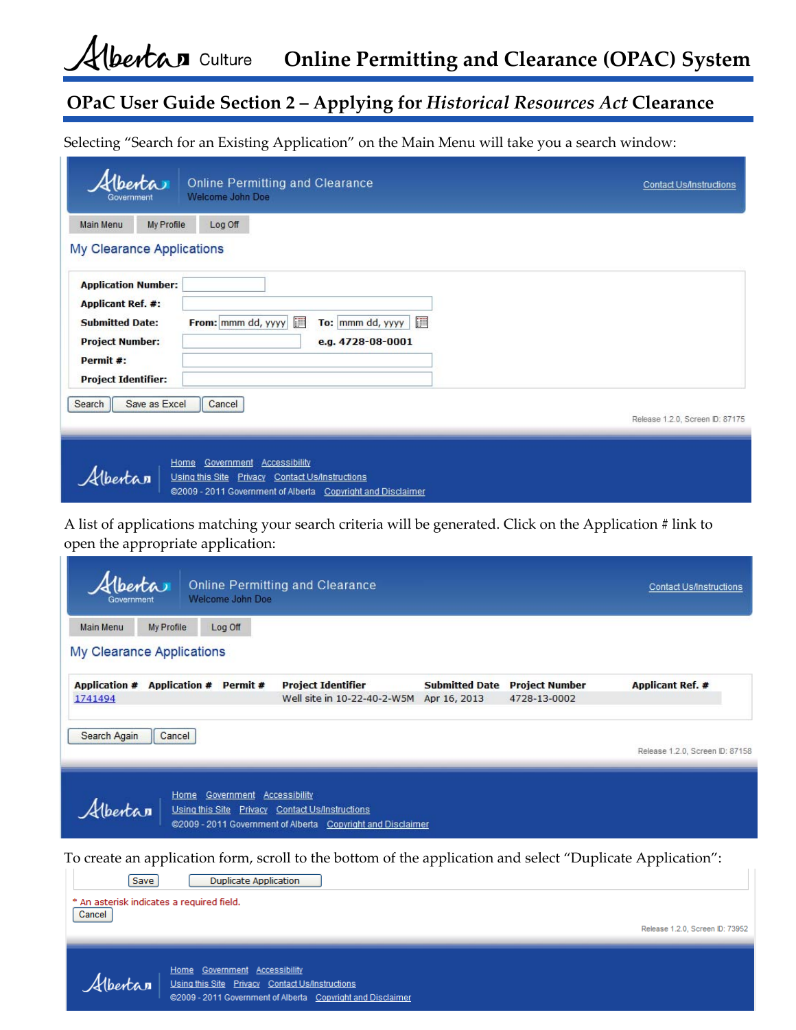Alberta n Culture **Online Permitting and Clearance (OPAC) System**

## **OPaC User Guide Section 2 – Applying for** *Historical Resources Act* **Clearance**

Selecting "Search for an Existing Application" on the Main Menu will take you a search window:

| <i>Aberta</i><br>Government                                                                                                                           |               | <b>Online Permitting and Clearance</b><br><b>Welcome John Doe</b>                                                                          | <b>Contact Us/Instructions</b>  |
|-------------------------------------------------------------------------------------------------------------------------------------------------------|---------------|--------------------------------------------------------------------------------------------------------------------------------------------|---------------------------------|
| <b>Main Menu</b>                                                                                                                                      | My Profile    | Log Off                                                                                                                                    |                                 |
| My Clearance Applications                                                                                                                             |               |                                                                                                                                            |                                 |
| <b>Application Number:</b><br><b>Applicant Ref. #:</b><br><b>Submitted Date:</b><br><b>Project Number:</b><br>Permit #:<br><b>Project Identifier:</b> |               | H<br>To: mmm dd, yyyy<br>From: mmm dd, yyyy<br>e.g. 4728-08-0001                                                                           | I                               |
| Search                                                                                                                                                | Save as Excel | Cancel                                                                                                                                     | Release 1.2.0, Screen ID: 87175 |
| Hbertan                                                                                                                                               | Home          | Government Accessibility<br>Using this Site Privacy Contact Us/Instructions<br>@2009 - 2011 Government of Alberta Copyright and Disclaimer |                                 |

A list of applications matching your search criteria will be generated. Click on the Application # link to open the appropriate application:

| Hberta<br><b>Online Permitting and Clearance</b><br>Welcome John Doe                                                                                        |                                                      | <b>Contact Us/Instructions</b>  |
|-------------------------------------------------------------------------------------------------------------------------------------------------------------|------------------------------------------------------|---------------------------------|
| <b>Main Menu</b><br>My Profile<br>Log Off                                                                                                                   |                                                      |                                 |
| My Clearance Applications                                                                                                                                   |                                                      |                                 |
| Application # Application # Permit #<br><b>Project Identifier</b><br>Well site in 10-22-40-2-W5M Apr 16, 2013<br>1741494                                    | <b>Submitted Date Project Number</b><br>4728-13-0002 | <b>Applicant Ref. #</b>         |
| Search Again<br>Cancel                                                                                                                                      |                                                      | Release 1.2.0, Screen ID: 87158 |
| Home Government Accessibility<br>Albertan<br>Using this Site Privacy Contact Us/Instructions<br>@2009 - 2011 Government of Alberta Copyright and Disclaimer |                                                      |                                 |
| To create an application form, scroll to the bottom of the application and select "Duplicate Application":                                                  |                                                      |                                 |
| <b>Duplicate Application</b><br>Save                                                                                                                        |                                                      |                                 |
| * An asterisk indicates a required field.<br>Cancel                                                                                                         |                                                      |                                 |
|                                                                                                                                                             |                                                      | Release 1.2.0, Screen ID: 73952 |
| Home Government Accessibility<br>Albertan<br>Using this Site Privacy Contact Us/Instructions<br>@2009 - 2011 Government of Alberta Copyright and Disclaimer |                                                      |                                 |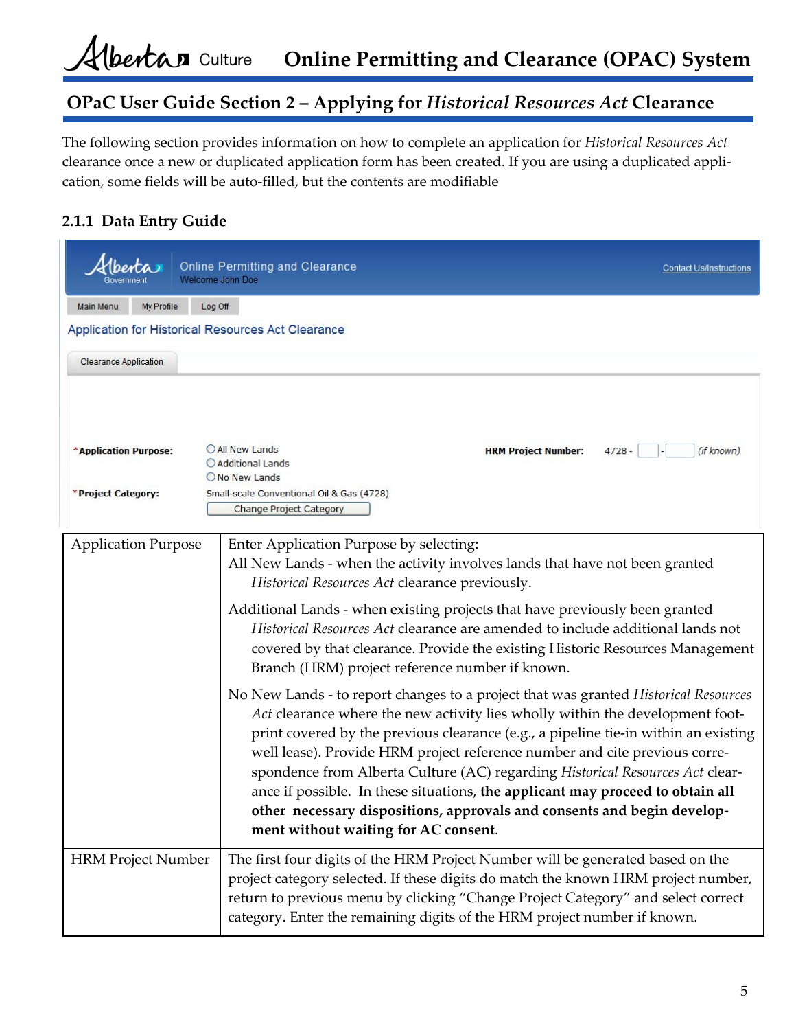The following section provides information on how to complete an application for *Historical Resources Act* clearance once a new or duplicated application form has been created. If you are using a duplicated appli‐ cation, some fields will be auto‐filled, but the contents are modifiable

#### **2.1.1 Data Entry Guide**

|                                             | <i><u><b>Iberta</b></u></i> | <b>Welcome John Doe</b> | <b>Online Permitting and Clearance</b>                                                                                                                                                                                                                                                                                                                                                                                                                                                                                                                                                                                          | <b>Contact Us/Instructions</b> |
|---------------------------------------------|-----------------------------|-------------------------|---------------------------------------------------------------------------------------------------------------------------------------------------------------------------------------------------------------------------------------------------------------------------------------------------------------------------------------------------------------------------------------------------------------------------------------------------------------------------------------------------------------------------------------------------------------------------------------------------------------------------------|--------------------------------|
| <b>Main Menu</b>                            | My Profile                  | Log Off                 |                                                                                                                                                                                                                                                                                                                                                                                                                                                                                                                                                                                                                                 |                                |
|                                             |                             |                         | Application for Historical Resources Act Clearance                                                                                                                                                                                                                                                                                                                                                                                                                                                                                                                                                                              |                                |
| <b>Clearance Application</b>                |                             |                         |                                                                                                                                                                                                                                                                                                                                                                                                                                                                                                                                                                                                                                 |                                |
| *Application Purpose:<br>*Project Category: |                             |                         | All New Lands<br><b>HRM Project Number:</b><br>$4728 -$<br>Additional Lands<br>O No New Lands<br>Small-scale Conventional Oil & Gas (4728)<br><b>Change Project Category</b>                                                                                                                                                                                                                                                                                                                                                                                                                                                    | (if known)                     |
| <b>Application Purpose</b>                  |                             |                         | Enter Application Purpose by selecting:<br>All New Lands - when the activity involves lands that have not been granted<br>Historical Resources Act clearance previously.<br>Additional Lands - when existing projects that have previously been granted<br>Historical Resources Act clearance are amended to include additional lands not<br>covered by that clearance. Provide the existing Historic Resources Management<br>Branch (HRM) project reference number if known.                                                                                                                                                   |                                |
|                                             |                             |                         | No New Lands - to report changes to a project that was granted Historical Resources<br>Act clearance where the new activity lies wholly within the development foot-<br>print covered by the previous clearance (e.g., a pipeline tie-in within an existing<br>well lease). Provide HRM project reference number and cite previous corre-<br>spondence from Alberta Culture (AC) regarding Historical Resources Act clear-<br>ance if possible. In these situations, the applicant may proceed to obtain all<br>other necessary dispositions, approvals and consents and begin develop-<br>ment without waiting for AC consent. |                                |
| <b>HRM Project Number</b>                   |                             |                         | The first four digits of the HRM Project Number will be generated based on the<br>project category selected. If these digits do match the known HRM project number,<br>return to previous menu by clicking "Change Project Category" and select correct<br>category. Enter the remaining digits of the HRM project number if known.                                                                                                                                                                                                                                                                                             |                                |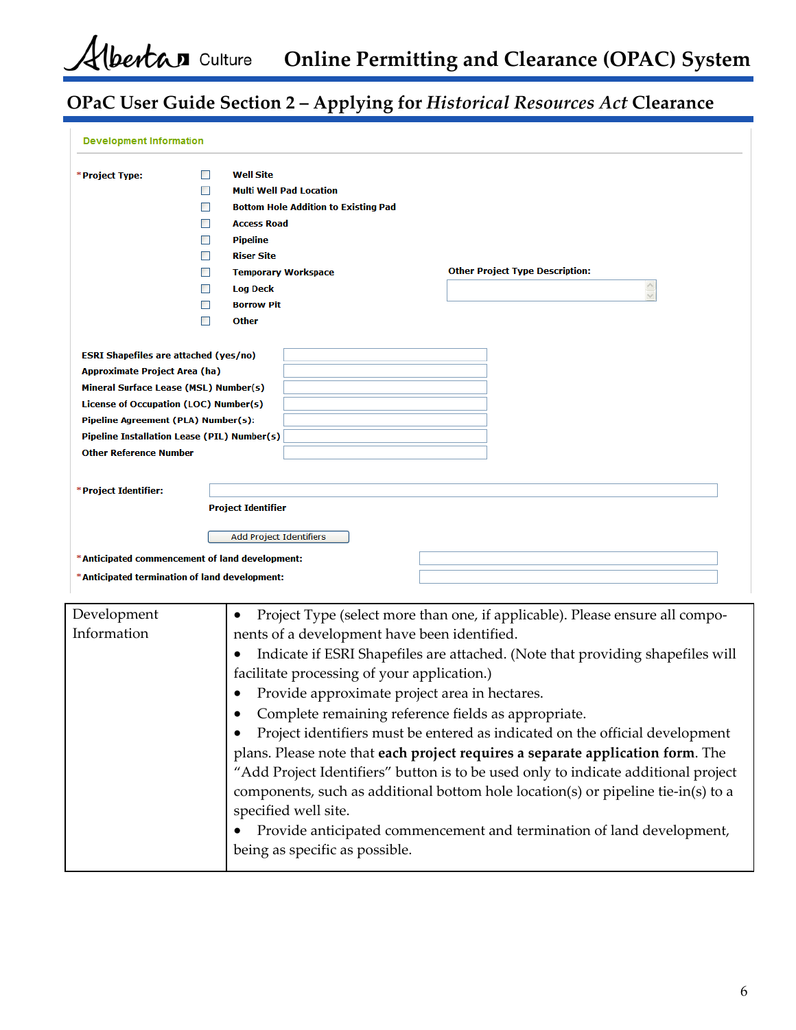**Online Permitting and Clearance (OPAC) System**

# **OPaC User Guide Section 2 – Applying for** *Historical Resources Act* **Clearance**

| <b>Development Information</b>                 |   |                                              |                                                                                    |
|------------------------------------------------|---|----------------------------------------------|------------------------------------------------------------------------------------|
| *Project Type:                                 |   | <b>Well Site</b>                             |                                                                                    |
|                                                |   | <b>Multi Well Pad Location</b>               |                                                                                    |
|                                                |   | <b>Bottom Hole Addition to Existing Pad</b>  |                                                                                    |
|                                                |   | <b>Access Road</b>                           |                                                                                    |
|                                                |   | <b>Pipeline</b>                              |                                                                                    |
|                                                |   | <b>Riser Site</b>                            |                                                                                    |
|                                                |   | <b>Temporary Workspace</b>                   | <b>Other Project Type Description:</b>                                             |
|                                                | П | <b>Log Deck</b>                              | A                                                                                  |
|                                                |   | <b>Borrow Pit</b>                            |                                                                                    |
|                                                |   | <b>Other</b>                                 |                                                                                    |
|                                                |   |                                              |                                                                                    |
| <b>ESRI Shapefiles are attached (yes/no)</b>   |   |                                              |                                                                                    |
| <b>Approximate Project Area (ha)</b>           |   |                                              |                                                                                    |
| Mineral Surface Lease (MSL) Number(s)          |   |                                              |                                                                                    |
| License of Occupation (LOC) Number(s)          |   |                                              |                                                                                    |
| Pipeline Agreement (PLA) Number(s):            |   |                                              |                                                                                    |
| Pipeline Installation Lease (PIL) Number(s)    |   |                                              |                                                                                    |
| <b>Other Reference Number</b>                  |   |                                              |                                                                                    |
|                                                |   |                                              |                                                                                    |
| *Project Identifier:                           |   |                                              |                                                                                    |
|                                                |   | <b>Project Identifier</b>                    |                                                                                    |
|                                                |   | Add Project Identifiers                      |                                                                                    |
| *Anticipated commencement of land development: |   |                                              |                                                                                    |
|                                                |   |                                              |                                                                                    |
| *Anticipated termination of land development:  |   |                                              |                                                                                    |
| Development                                    |   | ٠                                            | Project Type (select more than one, if applicable). Please ensure all compo-       |
| Information                                    |   | nents of a development have been identified. |                                                                                    |
|                                                |   |                                              |                                                                                    |
|                                                |   |                                              | Indicate if ESRI Shapefiles are attached. (Note that providing shapefiles will     |
|                                                |   | facilitate processing of your application.)  |                                                                                    |
|                                                |   |                                              | Provide approximate project area in hectares.                                      |
|                                                |   |                                              | Complete remaining reference fields as appropriate.                                |
|                                                |   |                                              |                                                                                    |
|                                                |   |                                              | Project identifiers must be entered as indicated on the official development       |
|                                                |   |                                              | plans. Please note that each project requires a separate application form. The     |
|                                                |   |                                              | "Add Project Identifiers" button is to be used only to indicate additional project |
|                                                |   |                                              | components, such as additional bottom hole location(s) or pipeline tie-in(s) to a  |
|                                                |   | specified well site.                         |                                                                                    |
|                                                |   |                                              |                                                                                    |
|                                                |   |                                              | Provide anticipated commencement and termination of land development,              |
|                                                |   | being as specific as possible.               |                                                                                    |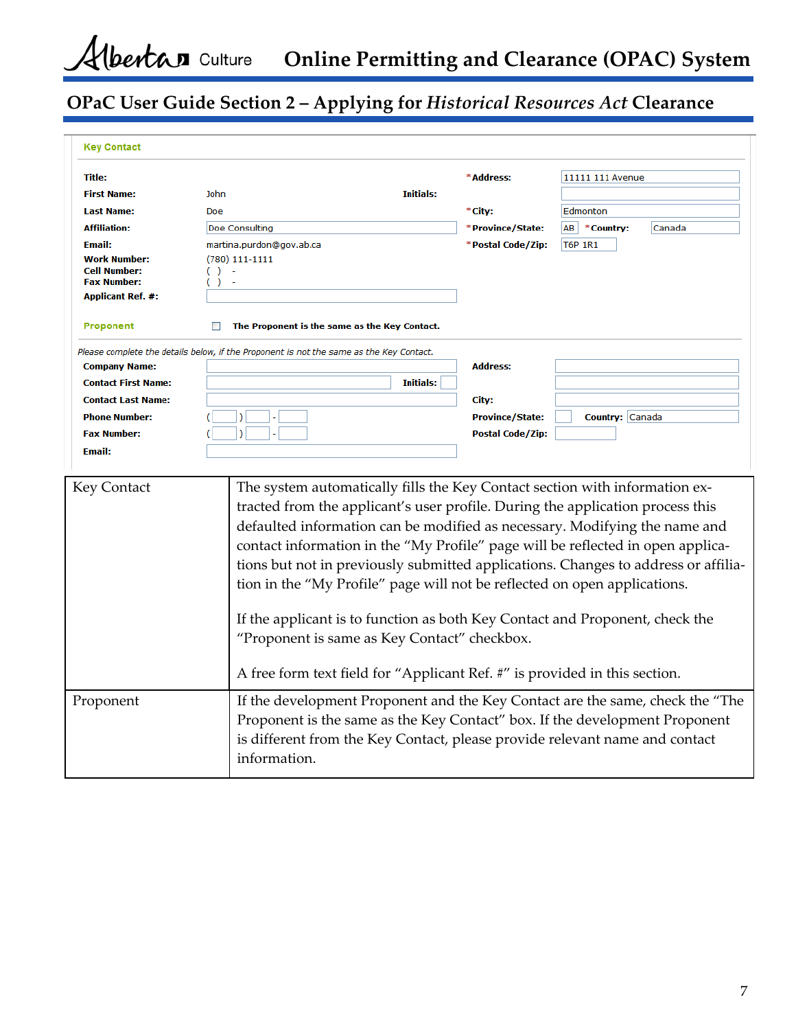**Online Permitting and Clearance (OPAC) System**

# **OPaC User Guide Section 2 – Applying for** *Historical Resources Act* **Clearance**

| <b>Key Contact</b>                                                                           |                                                                                                                                                                                                                                                                                                                                                                                                                                                                                                                                                                                                                                                                                                                 |                         |                               |
|----------------------------------------------------------------------------------------------|-----------------------------------------------------------------------------------------------------------------------------------------------------------------------------------------------------------------------------------------------------------------------------------------------------------------------------------------------------------------------------------------------------------------------------------------------------------------------------------------------------------------------------------------------------------------------------------------------------------------------------------------------------------------------------------------------------------------|-------------------------|-------------------------------|
| <b>Title:</b>                                                                                |                                                                                                                                                                                                                                                                                                                                                                                                                                                                                                                                                                                                                                                                                                                 | *Address:               | 11111 111 Avenue              |
| <b>First Name:</b>                                                                           | Initials:<br>John                                                                                                                                                                                                                                                                                                                                                                                                                                                                                                                                                                                                                                                                                               |                         |                               |
| <b>Last Name:</b>                                                                            | Doe                                                                                                                                                                                                                                                                                                                                                                                                                                                                                                                                                                                                                                                                                                             | *City:                  | Edmonton                      |
| <b>Affiliation:</b>                                                                          | Doe Consulting                                                                                                                                                                                                                                                                                                                                                                                                                                                                                                                                                                                                                                                                                                  | *Province/State:        | AB <b>*Country:</b><br>Canada |
| Email:                                                                                       | martina.purdon@gov.ab.ca                                                                                                                                                                                                                                                                                                                                                                                                                                                                                                                                                                                                                                                                                        | *Postal Code/Zip:       | <b>T6P 1R1</b>                |
| <b>Work Number:</b><br><b>Cell Number:</b><br><b>Fax Number:</b><br><b>Applicant Ref. #:</b> | $(780)$ 111-1111<br>$( ) -$<br>$( ) -$                                                                                                                                                                                                                                                                                                                                                                                                                                                                                                                                                                                                                                                                          |                         |                               |
| Proponent                                                                                    | The Proponent is the same as the Key Contact.                                                                                                                                                                                                                                                                                                                                                                                                                                                                                                                                                                                                                                                                   |                         |                               |
| <b>Company Name:</b><br><b>Contact First Name:</b>                                           | Please complete the details below, if the Proponent is not the same as the Key Contact.<br><b>Initials:</b>                                                                                                                                                                                                                                                                                                                                                                                                                                                                                                                                                                                                     | <b>Address:</b>         |                               |
| <b>Contact Last Name:</b>                                                                    |                                                                                                                                                                                                                                                                                                                                                                                                                                                                                                                                                                                                                                                                                                                 | City:                   |                               |
| <b>Phone Number:</b>                                                                         |                                                                                                                                                                                                                                                                                                                                                                                                                                                                                                                                                                                                                                                                                                                 | <b>Province/State:</b>  | Country: Canada               |
| <b>Fax Number:</b>                                                                           |                                                                                                                                                                                                                                                                                                                                                                                                                                                                                                                                                                                                                                                                                                                 | <b>Postal Code/Zip:</b> |                               |
| <b>Email:</b>                                                                                |                                                                                                                                                                                                                                                                                                                                                                                                                                                                                                                                                                                                                                                                                                                 |                         |                               |
|                                                                                              |                                                                                                                                                                                                                                                                                                                                                                                                                                                                                                                                                                                                                                                                                                                 |                         |                               |
| Key Contact                                                                                  | The system automatically fills the Key Contact section with information ex-<br>tracted from the applicant's user profile. During the application process this<br>defaulted information can be modified as necessary. Modifying the name and<br>contact information in the "My Profile" page will be reflected in open applica-<br>tions but not in previously submitted applications. Changes to address or affilia-<br>tion in the "My Profile" page will not be reflected on open applications.<br>If the applicant is to function as both Key Contact and Proponent, check the<br>"Proponent is same as Key Contact" checkbox.<br>A free form text field for "Applicant Ref. #" is provided in this section. |                         |                               |
| Proponent                                                                                    | If the development Proponent and the Key Contact are the same, check the "The<br>Proponent is the same as the Key Contact" box. If the development Proponent<br>is different from the Key Contact, please provide relevant name and contact<br>information.                                                                                                                                                                                                                                                                                                                                                                                                                                                     |                         |                               |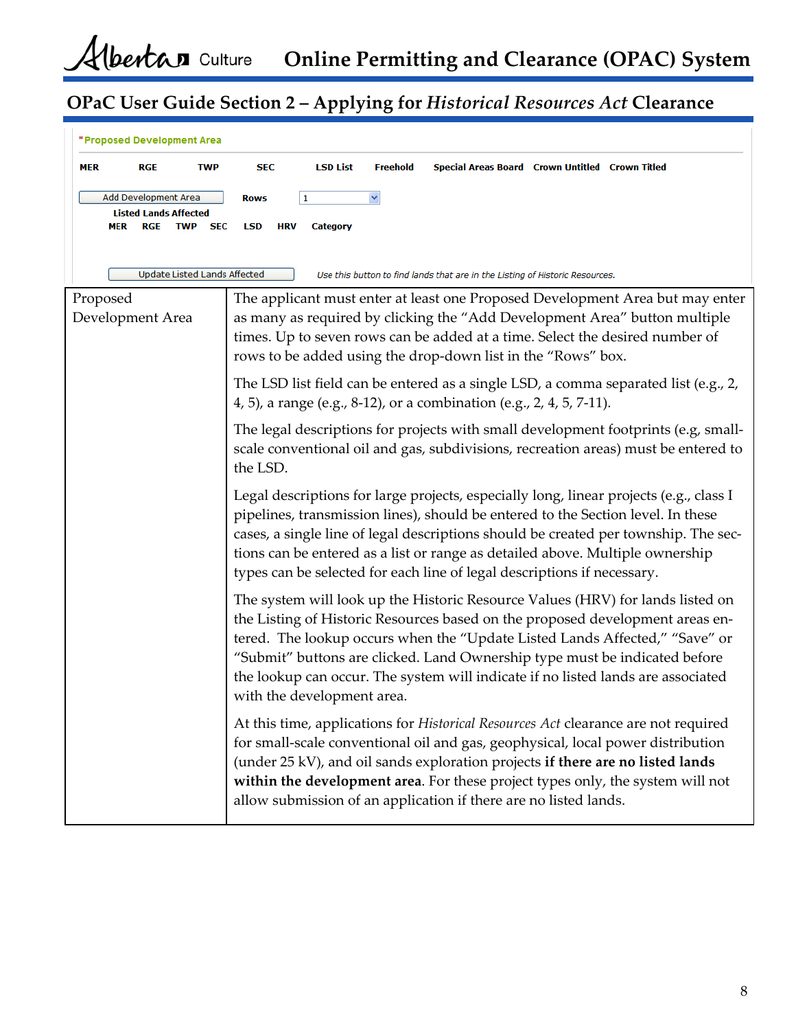| *Proposed Development Area                                                                                                                                                                                                                                                                                                                                                                                                    |                                                                                                                                                                                                                                                                                                                                                                                                                                                |  |  |  |
|-------------------------------------------------------------------------------------------------------------------------------------------------------------------------------------------------------------------------------------------------------------------------------------------------------------------------------------------------------------------------------------------------------------------------------|------------------------------------------------------------------------------------------------------------------------------------------------------------------------------------------------------------------------------------------------------------------------------------------------------------------------------------------------------------------------------------------------------------------------------------------------|--|--|--|
| <b>RGE</b><br>MER<br><b>TWP</b>                                                                                                                                                                                                                                                                                                                                                                                               | <b>SEC</b><br><b>LSD List</b><br><b>Freehold</b><br>Special Areas Board Crown Untitled Crown Titled                                                                                                                                                                                                                                                                                                                                            |  |  |  |
| Add Development Area<br><b>Listed Lands Affected</b><br>RGE<br><b>TWP</b><br><b>SEC</b><br>MER                                                                                                                                                                                                                                                                                                                                | <b>Rows</b><br>1<br>LSD<br><b>HRV</b><br>Category                                                                                                                                                                                                                                                                                                                                                                                              |  |  |  |
| Update Listed Lands Affected                                                                                                                                                                                                                                                                                                                                                                                                  | Use this button to find lands that are in the Listing of Historic Resources.                                                                                                                                                                                                                                                                                                                                                                   |  |  |  |
| Proposed<br>The applicant must enter at least one Proposed Development Area but may enter<br>as many as required by clicking the "Add Development Area" button multiple<br>Development Area<br>times. Up to seven rows can be added at a time. Select the desired number of<br>rows to be added using the drop-down list in the "Rows" box.                                                                                   |                                                                                                                                                                                                                                                                                                                                                                                                                                                |  |  |  |
|                                                                                                                                                                                                                                                                                                                                                                                                                               | The LSD list field can be entered as a single LSD, a comma separated list (e.g., 2,<br>4, 5), a range (e.g., 8-12), or a combination (e.g., 2, 4, 5, 7-11).                                                                                                                                                                                                                                                                                    |  |  |  |
|                                                                                                                                                                                                                                                                                                                                                                                                                               | The legal descriptions for projects with small development footprints (e.g, small-<br>scale conventional oil and gas, subdivisions, recreation areas) must be entered to<br>the LSD.                                                                                                                                                                                                                                                           |  |  |  |
| Legal descriptions for large projects, especially long, linear projects (e.g., class I<br>pipelines, transmission lines), should be entered to the Section level. In these<br>cases, a single line of legal descriptions should be created per township. The sec-<br>tions can be entered as a list or range as detailed above. Multiple ownership<br>types can be selected for each line of legal descriptions if necessary. |                                                                                                                                                                                                                                                                                                                                                                                                                                                |  |  |  |
|                                                                                                                                                                                                                                                                                                                                                                                                                               | The system will look up the Historic Resource Values (HRV) for lands listed on<br>the Listing of Historic Resources based on the proposed development areas en-<br>tered. The lookup occurs when the "Update Listed Lands Affected," "Save" or<br>"Submit" buttons are clicked. Land Ownership type must be indicated before<br>the lookup can occur. The system will indicate if no listed lands are associated<br>with the development area. |  |  |  |
|                                                                                                                                                                                                                                                                                                                                                                                                                               | At this time, applications for Historical Resources Act clearance are not required<br>for small-scale conventional oil and gas, geophysical, local power distribution<br>(under 25 kV), and oil sands exploration projects if there are no listed lands<br>within the development area. For these project types only, the system will not<br>allow submission of an application if there are no listed lands.                                  |  |  |  |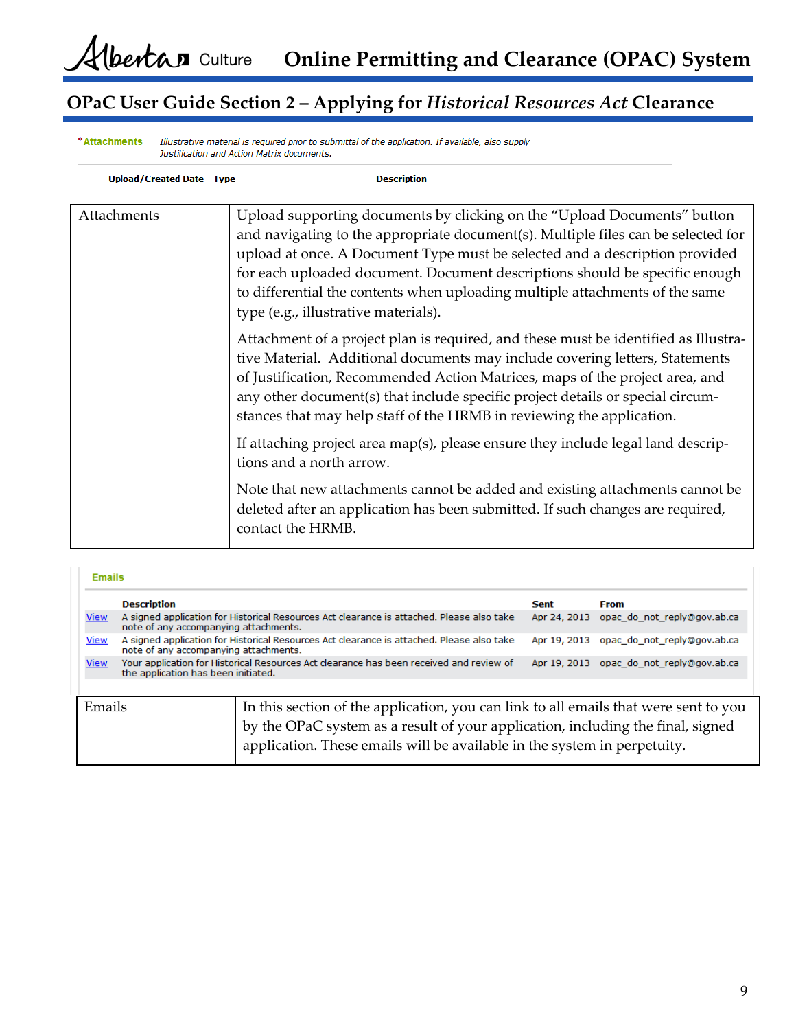| *Attachments                    | Illustrative material is required prior to submittal of the application. If available, also supply<br>Justification and Action Matrix documents.                                                                                                                                                                                                                                                                                                    |
|---------------------------------|-----------------------------------------------------------------------------------------------------------------------------------------------------------------------------------------------------------------------------------------------------------------------------------------------------------------------------------------------------------------------------------------------------------------------------------------------------|
| <b>Upload/Created Date Type</b> | <b>Description</b>                                                                                                                                                                                                                                                                                                                                                                                                                                  |
| Attachments                     | Upload supporting documents by clicking on the "Upload Documents" button<br>and navigating to the appropriate document(s). Multiple files can be selected for<br>upload at once. A Document Type must be selected and a description provided<br>for each uploaded document. Document descriptions should be specific enough<br>to differential the contents when uploading multiple attachments of the same<br>type (e.g., illustrative materials). |
|                                 | Attachment of a project plan is required, and these must be identified as Illustra-<br>tive Material. Additional documents may include covering letters, Statements<br>of Justification, Recommended Action Matrices, maps of the project area, and<br>any other document(s) that include specific project details or special circum-<br>stances that may help staff of the HRMB in reviewing the application.                                      |
|                                 | If attaching project area map(s), please ensure they include legal land descrip-<br>tions and a north arrow.                                                                                                                                                                                                                                                                                                                                        |
|                                 | Note that new attachments cannot be added and existing attachments cannot be<br>deleted after an application has been submitted. If such changes are required,<br>contact the HRMB.                                                                                                                                                                                                                                                                 |

#### **Emails**

|             | <b>Description</b>                                                                                                                 |                                                                                                                                                             | Sent | <b>From</b>                                 |
|-------------|------------------------------------------------------------------------------------------------------------------------------------|-------------------------------------------------------------------------------------------------------------------------------------------------------------|------|---------------------------------------------|
| <b>View</b> | A signed application for Historical Resources Act clearance is attached. Please also take<br>note of any accompanying attachments. |                                                                                                                                                             |      | opac do not reply@gov.ab.ca<br>Apr 24, 2013 |
| <b>View</b> | A signed application for Historical Resources Act clearance is attached. Please also take<br>note of any accompanying attachments. |                                                                                                                                                             |      | opac do not reply@gov.ab.ca<br>Apr 19, 2013 |
| <b>View</b> | Your application for Historical Resources Act clearance has been received and review of<br>the application has been initiated.     |                                                                                                                                                             |      | opac do not reply@gov.ab.ca<br>Apr 19, 2013 |
| Emails      |                                                                                                                                    |                                                                                                                                                             |      |                                             |
|             |                                                                                                                                    | In this section of the application, you can link to all emails that were sent to you                                                                        |      |                                             |
|             |                                                                                                                                    | by the OPaC system as a result of your application, including the final, signed<br>application. These emails will be available in the system in perpetuity. |      |                                             |
|             |                                                                                                                                    |                                                                                                                                                             |      |                                             |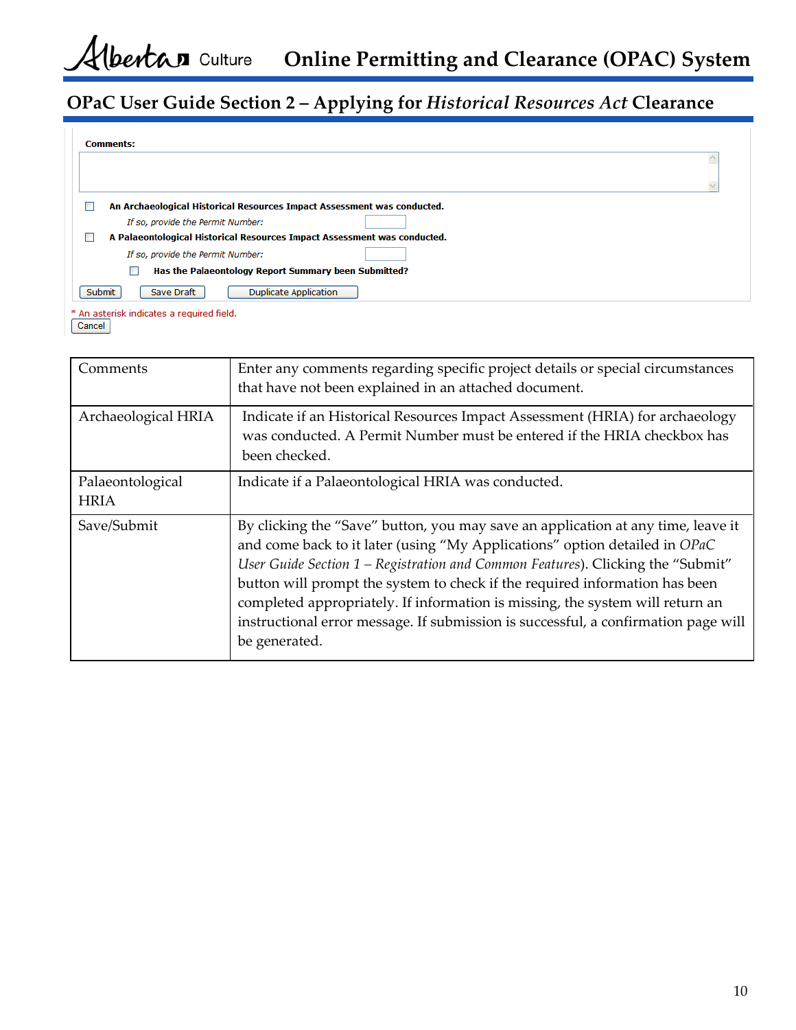| <b>Comments:</b>                                                              |  |  |  |  |
|-------------------------------------------------------------------------------|--|--|--|--|
|                                                                               |  |  |  |  |
|                                                                               |  |  |  |  |
| An Archaeological Historical Resources Impact Assessment was conducted.<br>٠  |  |  |  |  |
| If so, provide the Permit Number:                                             |  |  |  |  |
| A Palaeontological Historical Resources Impact Assessment was conducted.<br>٠ |  |  |  |  |
| If so, provide the Permit Number:                                             |  |  |  |  |
| Has the Palaeontology Report Summary been Submitted?                          |  |  |  |  |
| Submit<br><b>Duplicate Application</b><br>Save Draft                          |  |  |  |  |
| * An asterisk indicates a required field.                                     |  |  |  |  |

Cancel

| Comments                        | Enter any comments regarding specific project details or special circumstances<br>that have not been explained in an attached document.                                                                                                                                                                                                                                                                                                                                                                                  |  |  |  |
|---------------------------------|--------------------------------------------------------------------------------------------------------------------------------------------------------------------------------------------------------------------------------------------------------------------------------------------------------------------------------------------------------------------------------------------------------------------------------------------------------------------------------------------------------------------------|--|--|--|
| Archaeological HRIA             | Indicate if an Historical Resources Impact Assessment (HRIA) for archaeology<br>was conducted. A Permit Number must be entered if the HRIA checkbox has<br>been checked.                                                                                                                                                                                                                                                                                                                                                 |  |  |  |
| Palaeontological<br><b>HRIA</b> | Indicate if a Palaeontological HRIA was conducted.                                                                                                                                                                                                                                                                                                                                                                                                                                                                       |  |  |  |
| Save/Submit                     | By clicking the "Save" button, you may save an application at any time, leave it<br>and come back to it later (using "My Applications" option detailed in OPaC<br>User Guide Section 1 - Registration and Common Features). Clicking the "Submit"<br>button will prompt the system to check if the required information has been<br>completed appropriately. If information is missing, the system will return an<br>instructional error message. If submission is successful, a confirmation page will<br>be generated. |  |  |  |